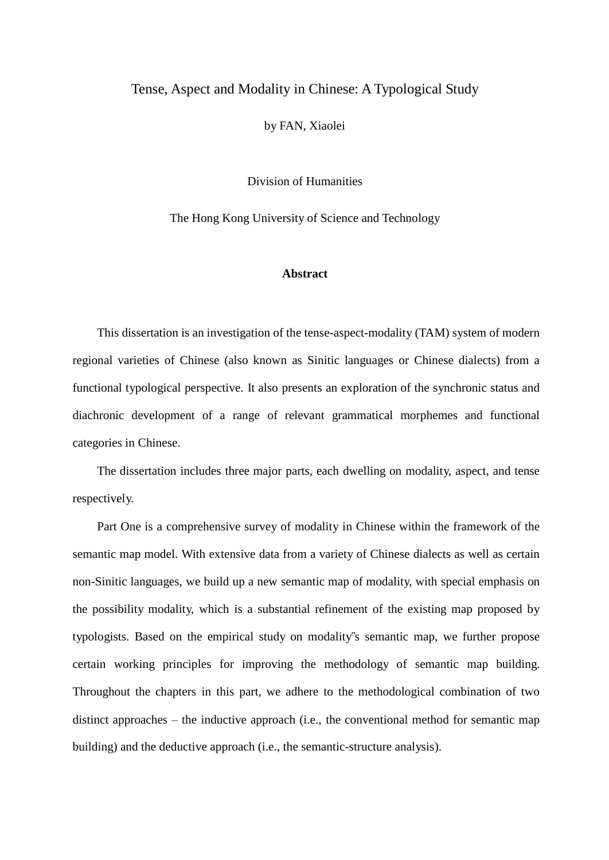## Tense, Aspect and Modality in Chinese: A Typological Study

by FAN, Xiaolei

Division of Humanities

The Hong Kong University of Science and Technology

## **Abstract**

This dissertation is an investigation of the tense-aspect-modality (TAM) system of modern regional varieties of Chinese (also known as Sinitic languages or Chinese dialects) from a functional typological perspective. It also presents an exploration of the synchronic status and diachronic development of a range of relevant grammatical morphemes and functional categories in Chinese.

The dissertation includes three major parts, each dwelling on modality, aspect, and tense respectively.

Part One is a comprehensive survey of modality in Chinese within the framework of the semantic map model. With extensive data from a variety of Chinese dialects as well as certain non-Sinitic languages, we build up a new semantic map of modality, with special emphasis on the possibility modality, which is a substantial refinement of the existing map proposed by typologists. Based on the empirical study on modality"s semantic map, we further propose certain working principles for improving the methodology of semantic map building. Throughout the chapters in this part, we adhere to the methodological combination of two distinct approaches – the inductive approach (i.e., the conventional method for semantic map building) and the deductive approach (i.e., the semantic-structure analysis).